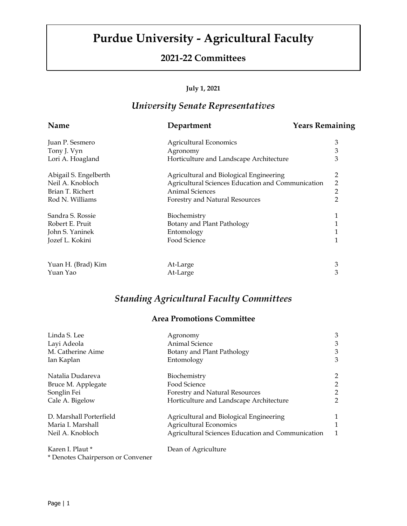# **Purdue University - Agricultural Faculty**

### **2021-22 Committees**

#### **July 1, 2021**

## *University Senate Representatives*

| <b>Name</b>           | <b>Years Remaining</b><br>Department              |                |
|-----------------------|---------------------------------------------------|----------------|
| Juan P. Sesmero       | <b>Agricultural Economics</b>                     | 3              |
| Tony J. Vyn           | Agronomy                                          | 3              |
| Lori A. Hoagland      | Horticulture and Landscape Architecture           | 3              |
| Abigail S. Engelberth | Agricultural and Biological Engineering           | 2              |
| Neil A. Knobloch      | Agricultural Sciences Education and Communication | $\overline{2}$ |
| Brian T. Richert      | <b>Animal Sciences</b>                            | $\overline{2}$ |
| Rod N. Williams       | Forestry and Natural Resources                    | $\overline{2}$ |
| Sandra S. Rossie      | Biochemistry                                      | 1              |
| Robert E. Pruit       | Botany and Plant Pathology                        | 1              |
| John S. Yaninek       | Entomology                                        | 1              |
| Jozef L. Kokini       | Food Science                                      | 1              |
| Yuan H. (Brad) Kim    | At-Large                                          | 3              |
| Yuan Yao              | At-Large                                          | 3              |

## *Standing Agricultural Faculty Committees*

### **Area Promotions Committee**

| Linda S. Lee                      | Agronomy                                          | 3              |
|-----------------------------------|---------------------------------------------------|----------------|
| Layi Adeola                       | Animal Science                                    | 3              |
| M. Catherine Aime                 | Botany and Plant Pathology                        | 3              |
| Ian Kaplan                        | Entomology                                        | 3              |
| Natalia Dudareva                  | Biochemistry                                      | $\overline{c}$ |
| Bruce M. Applegate                | Food Science                                      | $\overline{c}$ |
| Songlin Fei                       | Forestry and Natural Resources                    | $\overline{2}$ |
| Cale A. Bigelow                   | Horticulture and Landscape Architecture           | $\overline{2}$ |
| D. Marshall Porterfield           | Agricultural and Biological Engineering           | 1              |
| Maria I. Marshall                 | <b>Agricultural Economics</b>                     | 1              |
| Neil A. Knobloch                  | Agricultural Sciences Education and Communication | 1              |
| Karen I. Plaut *                  | Dean of Agriculture                               |                |
| * Denotes Chairperson or Convener |                                                   |                |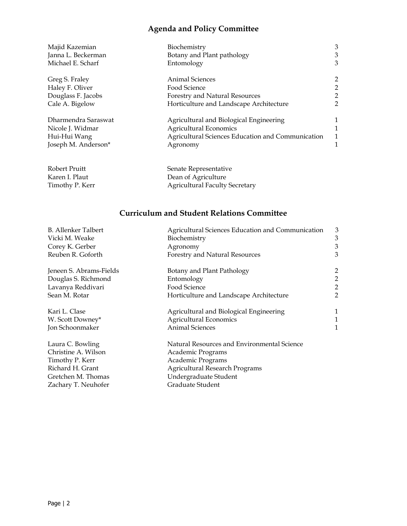## **Agenda and Policy Committee**

| Majid Kazemian      | Biochemistry                                      | 3              |
|---------------------|---------------------------------------------------|----------------|
| Janna L. Beckerman  | Botany and Plant pathology                        | 3              |
| Michael E. Scharf   | Entomology                                        | 3              |
| Greg S. Fraley      | <b>Animal Sciences</b>                            | $\overline{2}$ |
| Haley F. Oliver     | Food Science                                      | $\overline{2}$ |
| Douglass F. Jacobs  | Forestry and Natural Resources                    | $\overline{2}$ |
| Cale A. Bigelow     | Horticulture and Landscape Architecture           | $\mathfrak{D}$ |
| Dharmendra Saraswat | Agricultural and Biological Engineering           |                |
| Nicole J. Widmar    | <b>Agricultural Economics</b>                     |                |
| Hui-Hui Wang        | Agricultural Sciences Education and Communication |                |
| Joseph M. Anderson* | Agronomy                                          |                |
|                     |                                                   |                |
|                     |                                                   |                |

| Robert Pruitt   | Senate Representative                 |
|-----------------|---------------------------------------|
| Karen I. Plaut  | Dean of Agriculture                   |
| Timothy P. Kerr | <b>Agricultural Faculty Secretary</b> |

### **Curriculum and Student Relations Committee**

| <b>B.</b> Allenker Talbert | Agricultural Sciences Education and Communication | 3              |
|----------------------------|---------------------------------------------------|----------------|
| Vicki M. Weake             | Biochemistry                                      | 3              |
| Corey K. Gerber            | Agronomy                                          | 3              |
| Reuben R. Goforth          | Forestry and Natural Resources                    | 3              |
| Jeneen S. Abrams-Fields    | Botany and Plant Pathology                        | $\overline{c}$ |
| Douglas S. Richmond        | Entomology                                        | $\frac{2}{2}$  |
| Lavanya Reddivari          | Food Science                                      |                |
| Sean M. Rotar              | Horticulture and Landscape Architecture           | $\overline{2}$ |
| Kari L. Clase              | Agricultural and Biological Engineering           | 1              |
| W. Scott Downey*           | <b>Agricultural Economics</b>                     | 1              |
| Jon Schoonmaker            | <b>Animal Sciences</b>                            | 1              |
| Laura C. Bowling           | Natural Resources and Environmental Science       |                |
| Christine A. Wilson        | Academic Programs                                 |                |
| Timothy P. Kerr            | Academic Programs                                 |                |
| Richard H. Grant           | <b>Agricultural Research Programs</b>             |                |
| Gretchen M. Thomas         | Undergraduate Student                             |                |
| Zachary T. Neuhofer        | Graduate Student                                  |                |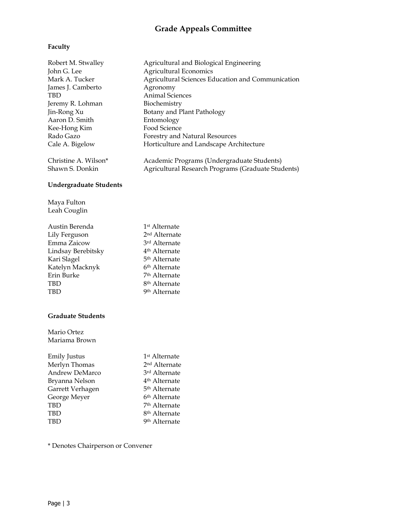## **Grade Appeals Committee**

### **Faculty**

| Robert M. Stwalley<br>John G. Lee<br>Mark A. Tucker<br>James J. Camberto<br>TBD<br>Jeremy R. Lohman<br>Jin-Rong Xu<br>Aaron D. Smith<br>Kee-Hong Kim<br>Rado Gazo<br>Cale A. Bigelow<br>Christine A. Wilson* | Agricultural and Biological Engineering<br><b>Agricultural Economics</b><br>Agricultural Sciences Education and Communication<br>Agronomy<br><b>Animal Sciences</b><br>Biochemistry<br>Botany and Plant Pathology<br>Entomology<br>Food Science<br>Forestry and Natural Resources<br>Horticulture and Landscape Architecture |  |
|--------------------------------------------------------------------------------------------------------------------------------------------------------------------------------------------------------------|------------------------------------------------------------------------------------------------------------------------------------------------------------------------------------------------------------------------------------------------------------------------------------------------------------------------------|--|
| Shawn S. Donkin                                                                                                                                                                                              | Academic Programs (Undergraduate Students)<br>Agricultural Research Programs (Graduate Students)                                                                                                                                                                                                                             |  |
| <b>Undergraduate Students</b>                                                                                                                                                                                |                                                                                                                                                                                                                                                                                                                              |  |
| Maya Fulton<br>Leah Couglin                                                                                                                                                                                  |                                                                                                                                                                                                                                                                                                                              |  |
| Austin Berenda<br>Lily Ferguson<br>Emma Zaicow<br>Lindsay Berebitsky<br>Kari Slagel<br>Katelyn Macknyk<br>Erin Burke<br>TBD<br>TBD                                                                           | 1 <sup>st</sup> Alternate<br>2 <sup>nd</sup> Alternate<br>3rd Alternate<br>4 <sup>th</sup> Alternate<br>5 <sup>th</sup> Alternate<br>6 <sup>th</sup> Alternate<br>7 <sup>th</sup> Alternate<br>8 <sup>th</sup> Alternate<br>9 <sup>th</sup> Alternate                                                                        |  |
| <b>Graduate Students</b>                                                                                                                                                                                     |                                                                                                                                                                                                                                                                                                                              |  |
| Mario Ortez<br>Mariama Brown                                                                                                                                                                                 |                                                                                                                                                                                                                                                                                                                              |  |
| <b>Emily Justus</b><br>Merlyn Thomas<br>Andrew DeMarco<br>Bryanna Nelson<br>Garrett Verhagen<br>George Meyer<br><b>TBD</b><br><b>TBD</b><br><b>TBD</b>                                                       | 1 <sup>st</sup> Alternate<br>2 <sup>nd</sup> Alternate<br>3rd Alternate<br>4 <sup>th</sup> Alternate<br>5 <sup>th</sup> Alternate<br>6 <sup>th</sup> Alternate<br>7 <sup>th</sup> Alternate<br>8 <sup>th</sup> Alternate<br>9 <sup>th</sup> Alternate                                                                        |  |
| * Denotes Chairperson or Convener                                                                                                                                                                            |                                                                                                                                                                                                                                                                                                                              |  |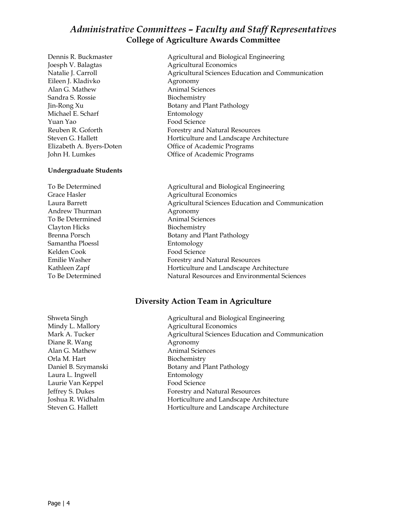### *Administrative Committees – Faculty and Staff Representatives* **College of Agriculture Awards Committee**

Joesph V. Balagtas Agricultural Economics Eileen J. Kladivko Agronomy Alan G. Mathew **Animal Sciences** Sandra S. Rossie Biochemistry Michael E. Scharf Entomology Yuan Yao Food Science

#### **Undergraduate Students**

Andrew Thurman Agronomy To Be Determined Animal Sciences Clayton Hicks Biochemistry Samantha Ploessl **Entomology** Kelden Cook Food Science

Dennis R. Buckmaster **Agricultural and Biological Engineering** Natalie J. Carroll **Agricultural Sciences Education and Communication** Jin-Rong Xu Botany and Plant Pathology Reuben R. Goforth Forestry and Natural Resources Steven G. Hallett **Horticulture and Landscape Architecture** Elizabeth A. Byers-Doten Office of Academic Programs John H. Lumkes Office of Academic Programs

To Be Determined Agricultural and Biological Engineering Grace Hasler **Agricultural Economics** Laura Barrett Agricultural Sciences Education and Communication Brenna Porsch Botany and Plant Pathology Emilie Washer Forestry and Natural Resources Kathleen Zapf **Horticulture and Landscape Architecture** To Be Determined Natural Resources and Environmental Sciences

#### **Diversity Action Team in Agriculture**

Mindy L. Mallory **Agricultural Economics** Diane R. Wang Agronomy Alan G. Mathew **Animal Sciences** Orla M. Hart Biochemistry Daniel B. Szymanski<br>Botany and Plant Pathology Laura L. Ingwell **Entomology** Laurie Van Keppel Food Science

Shweta Singh **Agricultural and Biological Engineering** Mark A. Tucker **Agricultural Sciences Education and Communication** Agricultural Sciences Education and Communication Jeffrey S. Dukes Forestry and Natural Resources Joshua R. Widhalm Horticulture and Landscape Architecture Steven G. Hallett **Horticulture and Landscape Architecture**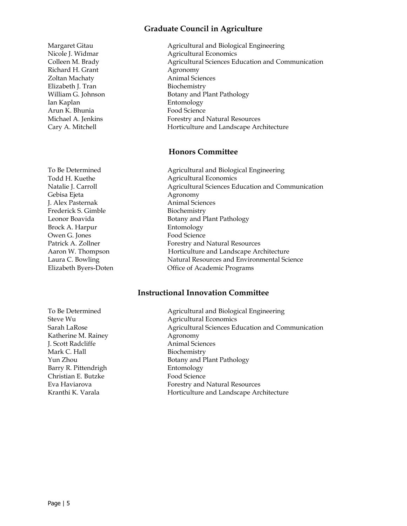#### **Graduate Council in Agriculture**

Margaret Gitau **Agricultural and Biological Engineering** Nicole J. Widmar Agricultural Economics Colleen M. Brady **Agricultural Sciences Education and Communication** Richard H. Grant Agronomy Zoltan Machaty **Animal** Sciences Elizabeth J. Tran Biochemistry William G. Johnson Botany and Plant Pathology Ian Kaplan Entomology Arun K. Bhunia **Food Science** Michael A. Jenkins Forestry and Natural Resources Cary A. Mitchell **Horticulture and Landscape Architecture** 

#### **Honors Committee**

To Be Determined **Agricultural and Biological Engineering** Todd H. Kuethe Agricultural Economics Natalie J. Carroll **Agricultural Sciences Education and Communication** Gebisa Ejeta Agronomy J. Alex Pasternak Animal Sciences Frederick S. Gimble Biochemistry Leonor Boavida Botany and Plant Pathology Brock A. Harpur Entomology Owen G. Jones Food Science Patrick A. Zollner Forestry and Natural Resources Aaron W. Thompson **Horticulture and Landscape Architecture** Laura C. Bowling Natural Resources and Environmental Science Elizabeth Byers-Doten Office of Academic Programs

#### **Instructional Innovation Committee**

Katherine M. Rainey Agronomy **J. Scott Radcliffe** Mark C. Hall Biochemistry Barry R. Pittendrigh Entomology Christian E. Butzke Food Science

To Be Determined Agricultural and Biological Engineering Steve Wu <br>
Agricultural Economics Sarah LaRose **Agricultural Sciences Education and Communication** Agricultural Sciences Education and Communication Yun Zhou Botany and Plant Pathology Eva Haviarova Forestry and Natural Resources Kranthi K. Varala **Horticulture and Landscape Architecture**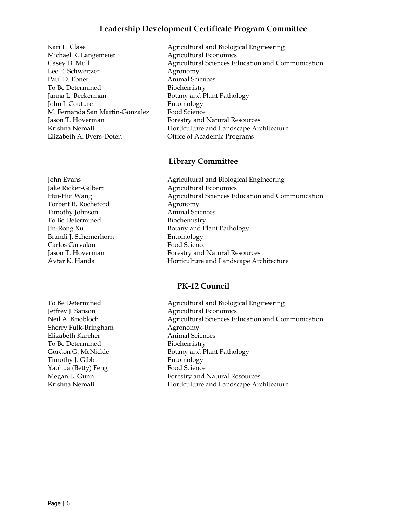#### **Leadership Development Certificate Program Committee**

Kari L. Clase **Agricultural and Biological Engineering** Michael R. Langemeier **Agricultural Economics** Lee E. Schweitzer **Agronomy** Paul D. Ebner Animal Sciences To Be Determined Biochemistry Janna L. Beckerman Botany and Plant Pathology John J. Couture Entomology M. Fernanda San Martin-Gonzalez Food Science Jason T. Hoverman Forestry and Natural Resources Elizabeth A. Byers-Doten Office of Academic Programs

Casey D. Mull Agricultural Sciences Education and Communication Krishna Nemali **Horticulture and Landscape Architecture** 

#### **Library Committee**

John Evans **Agricultural and Biological Engineering** Jake Ricker-Gilbert Agricultural Economics Torbert R. Rocheford Agronomy Timothy Johnson Animal Sciences To Be Determined Biochemistry Brandi J. Schemerhorn Entomology Carlos Carvalan Food Science

Hui-Hui Wang Agricultural Sciences Education and Communication Jin-Rong Xu Botany and Plant Pathology Jason T. Hoverman Forestry and Natural Resources Avtar K. Handa Horticulture and Landscape Architecture

#### **PK-12 Council**

Jeffrey J. Sanson Agricultural Economics Sherry Fulk-Bringham Agronomy Elizabeth Karcher **Animal Sciences** To Be Determined Biochemistry Timothy J. Gibb Entomology Yaohua (Betty) Feng Food Science

To Be Determined Agricultural and Biological Engineering Neil A. Knobloch Agricultural Sciences Education and Communication Gordon G. McNickle Botany and Plant Pathology Megan L. Gunn Forestry and Natural Resources Krishna Nemali **Horticulture and Landscape Architecture**